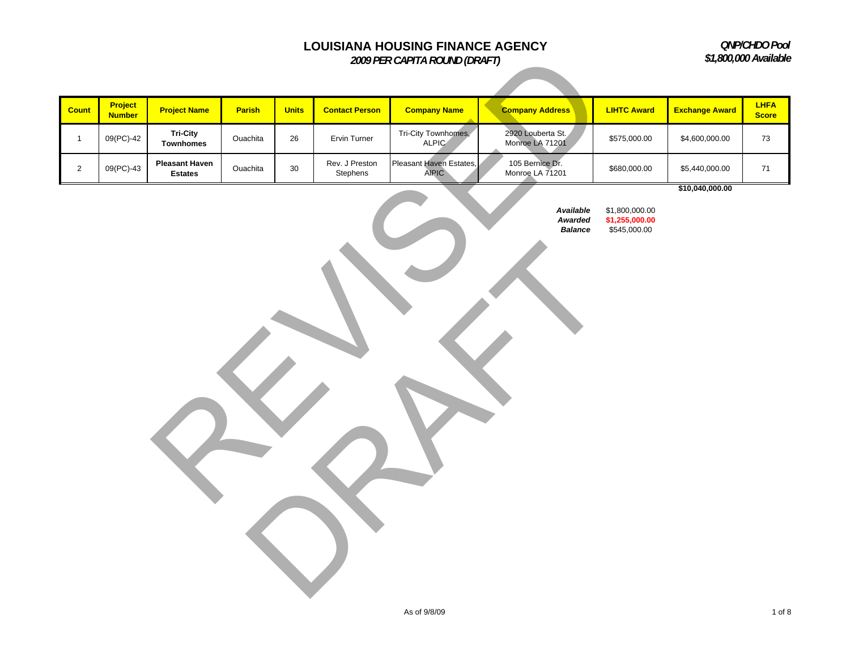*QNP/CHDO Pool \$1,800,000 Available*

|                |                          | \$1,800,000 Available                   |          |              |                            |                                         |                                        |                                                  |                       |                             |
|----------------|--------------------------|-----------------------------------------|----------|--------------|----------------------------|-----------------------------------------|----------------------------------------|--------------------------------------------------|-----------------------|-----------------------------|
|                |                          |                                         |          |              |                            |                                         |                                        |                                                  |                       |                             |
| Count          | Project<br><b>Number</b> | <b>Project Name</b>                     | Parish   | <b>Units</b> | <b>Contact Person</b>      | <b>Company Name</b>                     | <b>Company Address</b>                 | <b>LIHTC Award</b>                               | <b>Exchange Award</b> | <b>LHFA</b><br><b>Score</b> |
| $\mathbf{1}$   | 09(PC)-42                | <b>Tri-City</b><br><b>Townhomes</b>     | Ouachita | $26\,$       | Ervin Turner               | Tri-City Townhomes,<br><b>ALPIC</b>     | 2920 Louberta St.<br>Monroe LA 71201   | \$575,000.00                                     | \$4,600,000.00        | 73                          |
| $\overline{2}$ | 09(PC)-43                | <b>Pleasant Haven</b><br><b>Estates</b> | Ouachita | 30           | Rev. J Preston<br>Stephens | Pleasant Haven Estates,<br><b>AIPIC</b> | 105 Bernice Dr.<br>Monroe LA 71201     | \$680,000.00                                     | \$5,440,000.00        | $71$                        |
|                |                          |                                         |          |              |                            |                                         | Available<br>Awarded<br><b>Balance</b> | \$1,800,000.00<br>\$1,255,000.00<br>\$545,000.00 | \$10,040,000.00       |                             |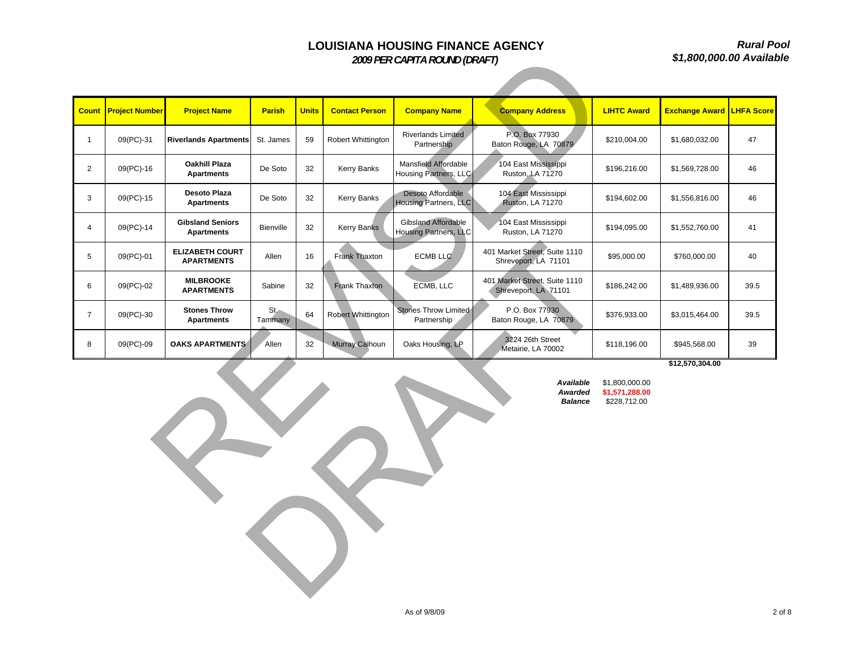*Rural Pool\$1,800,000.00 Available*

|                                                                                                               | \$1,800,000.00 Availa       |                                                                 |               |                          |                       |                                                     |                                                       |                    |                                  |      |  |
|---------------------------------------------------------------------------------------------------------------|-----------------------------|-----------------------------------------------------------------|---------------|--------------------------|-----------------------|-----------------------------------------------------|-------------------------------------------------------|--------------------|----------------------------------|------|--|
|                                                                                                               |                             |                                                                 |               |                          |                       |                                                     |                                                       |                    |                                  |      |  |
|                                                                                                               | <b>Count Project Number</b> | <b>Project Name</b>                                             | <b>Parish</b> | <b>Units</b>             | <b>Contact Person</b> | <b>Company Name</b>                                 | <b>Company Address</b>                                | <b>LIHTC Award</b> | <b>Exchange Award LHFA Score</b> |      |  |
| $\mathbf{1}$                                                                                                  | 09(PC)-31                   | <b>Riverlands Apartments</b>                                    | St. James     | 59                       | Robert Whittington    | Riverlands Limited<br>Partnership                   | P.O. Box 77930<br>Baton Rouge, LA 70879               | \$210,004.00       | \$1,680,032.00                   | 47   |  |
| $\overline{2}$                                                                                                | 09(PC)-16                   | <b>Oakhill Plaza</b><br><b>Apartments</b>                       | De Soto       | 32                       | Kerry Banks           | Mansfield Affordable<br>Housing Partners, LLC       | 104 East Mississippi<br>Ruston, LA 71270              | \$196,216.00       | \$1,569,728.00                   | 46   |  |
| 3                                                                                                             | 09(PC)-15                   | Desoto Plaza<br><b>Apartments</b>                               | De Soto       | 32                       | Kerry Banks           | Desoto Affordable<br>Housing Partners, LLC          | 104 East Mississippi<br><b>Ruston, LA 71270</b>       | \$194,602.00       | \$1,556,816.00                   | 46   |  |
| $\overline{4}$                                                                                                | 09(PC)-14                   | <b>Gibsland Seniors</b><br><b>Apartments</b>                    | Bienville     | 32                       | Kerry Banks           | <b>Gibsland Affordable</b><br>Housing Partners, LLC | 104 East Mississippi<br>Ruston, LA 71270              | \$194,095.00       | \$1,552,760.00                   | 41   |  |
| $5\phantom{.0}$                                                                                               | 09(PC)-01                   | <b>ELIZABETH COURT</b><br><b>APARTMENTS</b>                     | Allen         | 16                       | Frank Thaxton         | <b>ECMB LLC</b>                                     | 401 Market Street, Suite 1110<br>Shreveport, LA 71101 | \$95,000.00        | \$760,000.00                     | 40   |  |
| 6                                                                                                             | 09(PC)-02                   | <b>MILBROOKE</b><br><b>APARTMENTS</b>                           | Sabine        | 32                       | Frank Thaxton         | ECMB, LLC                                           | 401 Market Street, Suite 1110<br>Shreveport, LA 71101 | \$186,242.00       | \$1,489,936.00                   | 39.5 |  |
| $\overline{7}$                                                                                                | 09(PC)-30                   | <b>Stones Throw</b><br>$St_{-}$<br>Tammany<br><b>Apartments</b> |               | 64<br>Robert Whittington |                       | Stones Throw Limited<br>Partnership                 | P.O. Box 77930<br>Baton Rouge, LA 70879               | \$376,933.00       | \$3,015,464.00                   | 39.5 |  |
| 8                                                                                                             | 09(PC)-09                   | <b>OAKS APARTMENTS</b>                                          | Allen         | 32                       | Murray Calhoun        | Oaks Housing, LP                                    | 3224 26th Street<br>Metairie, LA 70002                | \$118,196.00       | \$945,568.00                     | 39   |  |
| \$12,570,304.00<br>Available<br>\$1,800,000.00<br>Awarded<br>\$1,571,288.00<br>\$228,712.00<br><b>Balance</b> |                             |                                                                 |               |                          |                       |                                                     |                                                       |                    |                                  |      |  |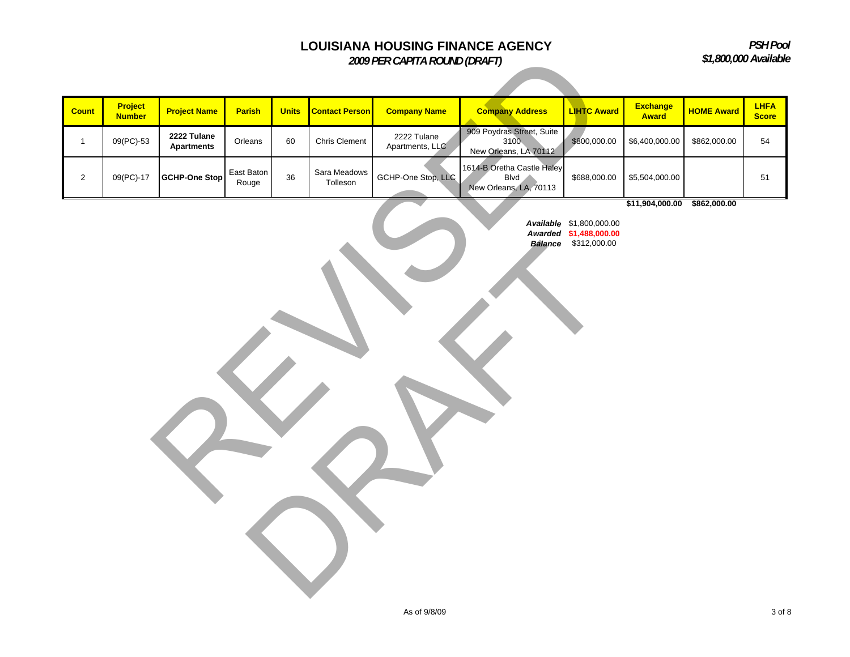*PSH Pool\$1,800,000 Available*

|                |                          |                                  | \$1,800,000 Available |              |                          |                                |                                                                     |                                                                            |                          |                   |                             |
|----------------|--------------------------|----------------------------------|-----------------------|--------------|--------------------------|--------------------------------|---------------------------------------------------------------------|----------------------------------------------------------------------------|--------------------------|-------------------|-----------------------------|
|                |                          |                                  |                       |              |                          |                                |                                                                     |                                                                            |                          |                   |                             |
| <b>Count</b>   | Project<br><b>Number</b> | <b>Project Name</b>              | Parish                | <b>Units</b> | <b>Contact Person</b>    | <b>Company Name</b>            | <b>Company Address</b>                                              | <b>LIHTC Award</b>                                                         | <b>Exchange</b><br>Award | <b>HOME Award</b> | <b>LHFA</b><br><b>Score</b> |
| $\mathbf{1}$   | 09(PC)-53                | 2222 Tulane<br><b>Apartments</b> | Orleans               | 60           | Chris Clement            | 2222 Tulane<br>Apartments, LLC | 909 Poydras Street, Suite<br>3100<br>New Orleans, LA 70112          | \$800,000.00                                                               | \$6,400,000.00           | \$862,000.00      | 54                          |
| $\overline{2}$ | 09(PC)-17                | <b>GCHP-One Stop</b>             | East Baton<br>Rouge   | 36           | Sara Meadows<br>Tolleson | GCHP-One Stop, LLC             | 1614-B Oretha Castle Haley<br><b>Blvd</b><br>New Orleans, LA, 70113 | \$688,000.00                                                               | \$5,504,000.00           |                   | 51                          |
|                |                          |                                  |                       |              |                          |                                |                                                                     | Available \$1,800,000.00<br>Awarded \$1,488,000.00<br>Balance \$312,000.00 | \$11,904,000.00          | \$862,000.00      |                             |
|                |                          |                                  |                       |              |                          | As of 9/8/09                   |                                                                     |                                                                            |                          |                   | 3 of 8                      |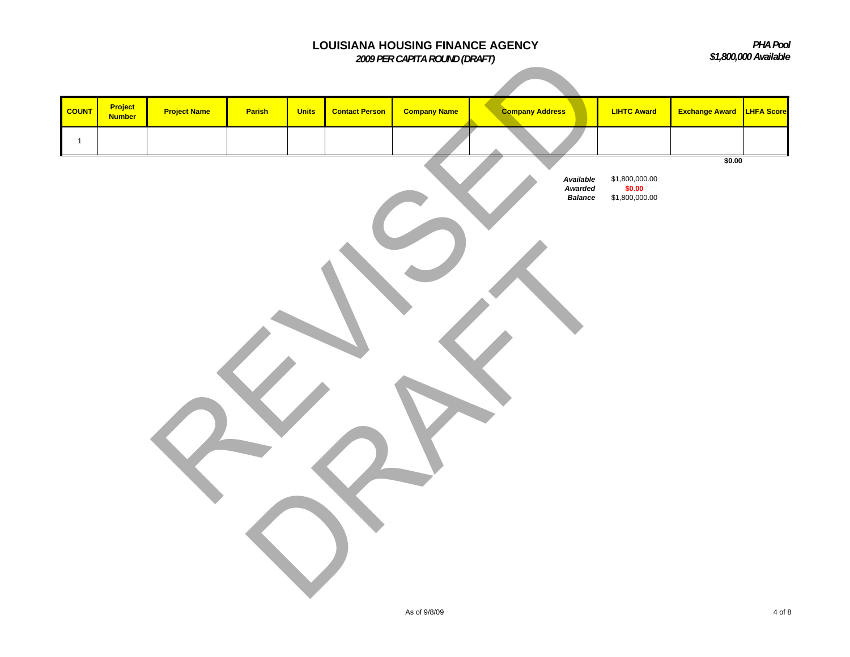|              |                                 |                     |        |              |                       | LOUISIANA HOUSING FINANCE AGENCY<br>2009 PER CAPITA ROUND (DRAFT) |                                        |                                              |                       | PHA Pool<br>\$1,800,000 Available |
|--------------|---------------------------------|---------------------|--------|--------------|-----------------------|-------------------------------------------------------------------|----------------------------------------|----------------------------------------------|-----------------------|-----------------------------------|
| <b>COUNT</b> | <b>Project</b><br><b>Number</b> | <b>Project Name</b> | Parish | <b>Units</b> | <b>Contact Person</b> | <b>Company Name</b>                                               | <b>Company Address</b>                 | <b>LIHTC Award</b>                           | <b>Exchange Award</b> | <b>LHFA Score</b>                 |
|              |                                 |                     |        |              |                       |                                                                   |                                        |                                              |                       |                                   |
| $\mathbf{1}$ |                                 |                     |        |              |                       |                                                                   | Available<br>Awarded<br><b>Balance</b> | $$1,800,000.00$<br>$$0.00$<br>\$1,800,000.00 | \$0.00                |                                   |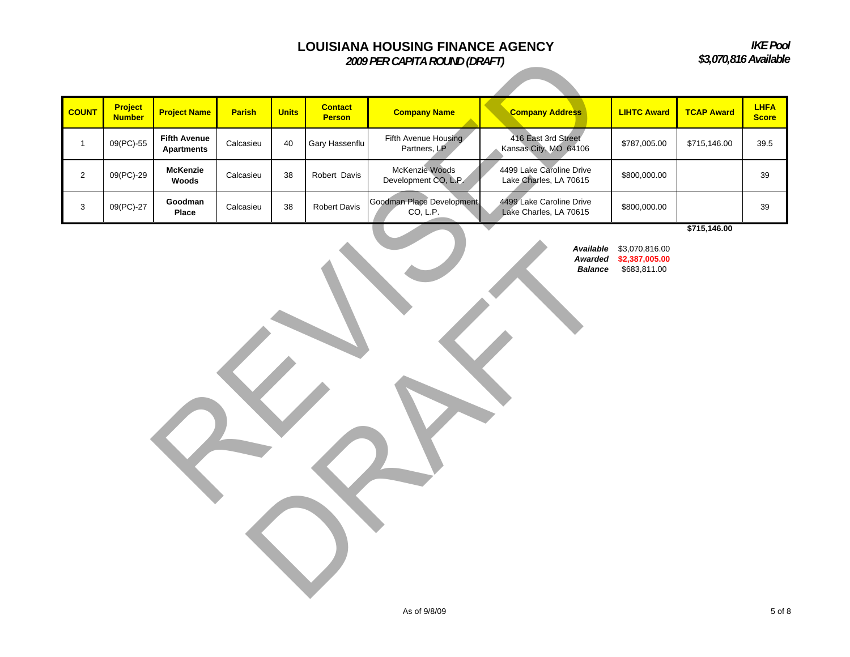*IKE Pool \$3,070,816 Available*

|                |                          |                                          |               |              |                                 | 2009 PER CAPITA ROUND (DRAFT)          |                                                    |                                                  |                   | \$3,070,816 Available       |
|----------------|--------------------------|------------------------------------------|---------------|--------------|---------------------------------|----------------------------------------|----------------------------------------------------|--------------------------------------------------|-------------------|-----------------------------|
| <b>COUNT</b>   | Project<br><b>Number</b> | <b>Project Name</b>                      | <b>Parish</b> | <b>Units</b> | <b>Contact</b><br><b>Person</b> | <b>Company Name</b>                    | <b>Company Address</b>                             | <b>LIHTC Award</b>                               | <b>TCAP Award</b> | <b>LHFA</b><br><b>Score</b> |
| $\mathbf{1}$   | 09(PC)-55                | <b>Fifth Avenue</b><br><b>Apartments</b> | Calcasieu     | 40           | Gary Hassenflu                  | Fifth Avenue Housing<br>Partners, LP   | 416 East 3rd Street<br>Kansas City, MO 64106       | \$787,005.00                                     | \$715,146.00      | 39.5                        |
| $\overline{2}$ | 09(PC)-29                | <b>McKenzie</b><br>Woods                 | Calcasieu     | 38           | Robert Davis                    | McKenzie Woods<br>Development CO, L.P. | 4499 Lake Caroline Drive<br>Lake Charles, LA 70615 | \$800,000.00                                     |                   | 39                          |
| 3              | 09(PC)-27                | Goodman<br>Place                         | Calcasieu     | 38           | <b>Robert Davis</b>             | Goodman Place Development<br>CO, L.P.  | 4499 Lake Caroline Drive<br>Lake Charles, LA 70615 | \$800,000.00                                     | \$715,146.00      | 39                          |
|                |                          |                                          |               |              |                                 |                                        | Available<br>Awarded<br><b>Balance</b>             | \$3,070,816.00<br>\$2,387,005.00<br>\$683,811.00 |                   |                             |

*Available* \$3,070,816.00 *Awarded* **\$2,387,005.00** *Balance* \$683,811.00 RAFTER STREET

As of 9/8/09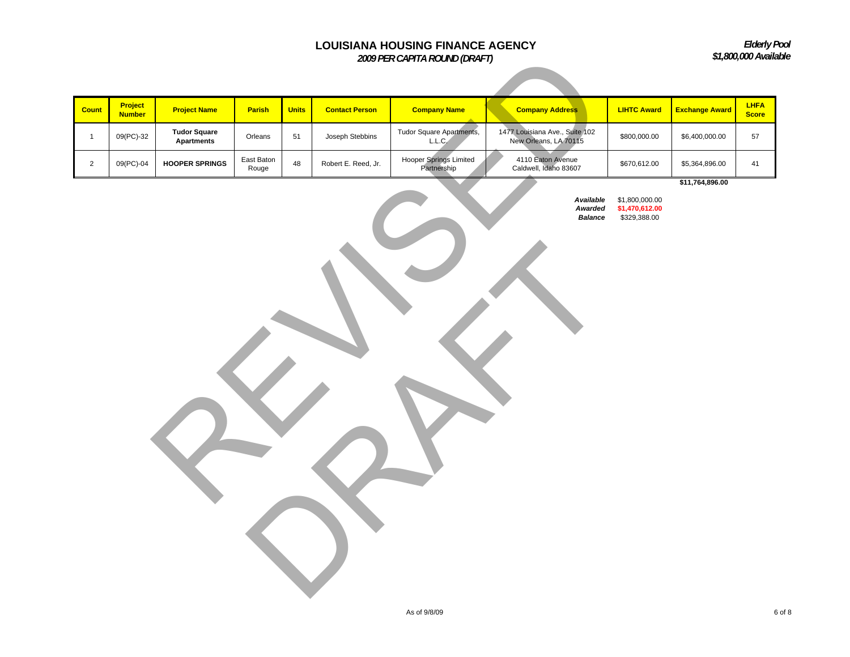*Elderly Pool \$1,800,000 Available*

|                |                          |                                          |                     |              |                       | 2009 PER CAPITA ROUND (DRAFT)         |                                                         |                                                  |                       | \$1,800,000 Availa          |
|----------------|--------------------------|------------------------------------------|---------------------|--------------|-----------------------|---------------------------------------|---------------------------------------------------------|--------------------------------------------------|-----------------------|-----------------------------|
|                |                          |                                          |                     |              |                       |                                       |                                                         |                                                  |                       |                             |
| <b>Count</b>   | Project<br><b>Number</b> | <b>Project Name</b>                      | Parish              | <b>Units</b> | <b>Contact Person</b> | <b>Company Name</b>                   | <b>Company Address</b>                                  | <b>LIHTC Award</b>                               | <b>Exchange Award</b> | <b>LHFA</b><br><b>Score</b> |
| $\overline{1}$ | 09(PC)-32                | <b>Tudor Square</b><br><b>Apartments</b> | Orleans             | 51           | Joseph Stebbins       | Tudor Square Apartments,<br>L.L.C.    | 1477 Louisiana Ave., Suite 102<br>New Orleans, LA 70115 | \$800,000.00                                     | \$6,400,000.00        | 57                          |
| $\overline{2}$ | 09(PC)-04                | <b>HOOPER SPRINGS</b>                    | East Baton<br>Rouge | 48           | Robert E. Reed, Jr.   | Hooper Springs Limited<br>Partnership | 4110 Eaton Avenue<br>Caldwell, Idaho 83607              | \$670,612.00                                     | \$5,364,896.00        | 41                          |
|                |                          |                                          |                     |              |                       |                                       | Available<br>Awarded<br><b>Balance</b>                  | \$1,800,000.00<br>\$1,470,612.00<br>\$329,388.00 | \$11,764,896.00       |                             |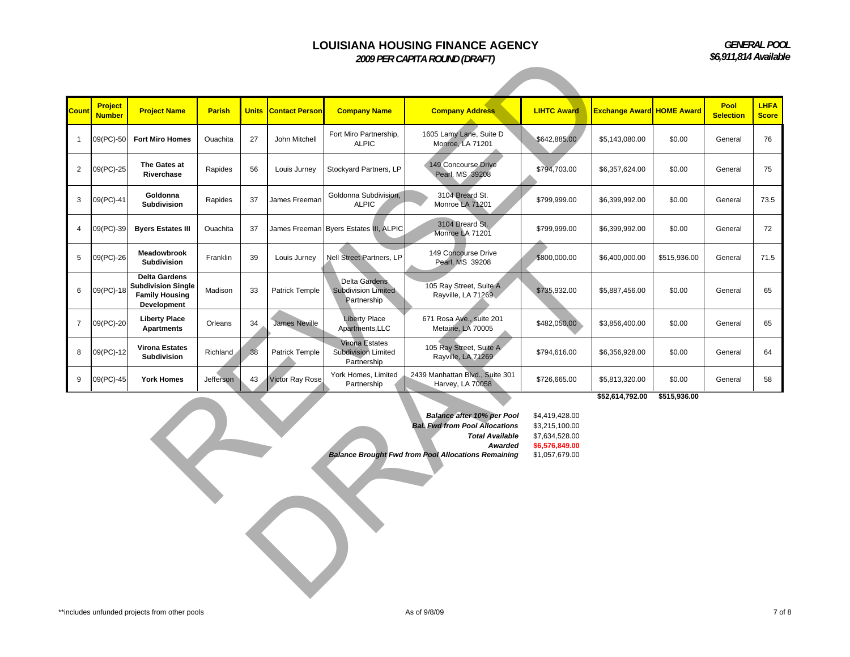*GENERAL POOL \$6,911,814 Available*

|                |                                 |                                                                                           |               |    |                             |                                                             | 2009 PER CAPITA ROUND (DRAFT)                                                                                                                                          |                                                                                        |                                  |              | \$6,911,814 Availab             |                             |
|----------------|---------------------------------|-------------------------------------------------------------------------------------------|---------------|----|-----------------------------|-------------------------------------------------------------|------------------------------------------------------------------------------------------------------------------------------------------------------------------------|----------------------------------------------------------------------------------------|----------------------------------|--------------|---------------------------------|-----------------------------|
|                |                                 |                                                                                           |               |    |                             |                                                             |                                                                                                                                                                        |                                                                                        |                                  |              |                                 |                             |
| Count          | <b>Project</b><br><b>Number</b> | <b>Project Name</b>                                                                       | <b>Parish</b> |    | <b>Units Contact Person</b> | <b>Company Name</b>                                         | <b>Company Address</b>                                                                                                                                                 | <b>LIHTC Award</b>                                                                     | <b>Exchange Award HOME Award</b> |              | <b>Pool</b><br><b>Selection</b> | <b>LHFA</b><br><b>Score</b> |
| $\mathbf{1}$   | 09(PC)-50                       | <b>Fort Miro Homes</b>                                                                    | Ouachita      | 27 | John Mitchell               | Fort Miro Partnership,<br><b>ALPIC</b>                      | 1605 Lamy Lane, Suite D<br>Monroe, LA 71201                                                                                                                            | \$642,885.00                                                                           | \$5,143,080.00                   | \$0.00       | General                         | 76                          |
| 2              | 09(PC)-25                       | The Gates at<br>Riverchase                                                                | Rapides       | 56 | Louis Jurney                | Stockyard Partners, LP                                      | 149 Concourse Drive<br>Pearl, MS 39208                                                                                                                                 | \$794,703.00                                                                           | \$6,357,624.00                   | \$0.00       | General                         | 75                          |
| 3              | 09(PC)-41                       | Goldonna<br>Subdivision                                                                   | Rapides       | 37 | James Freeman               | Goldonna Subdivision,<br><b>ALPIC</b>                       | 3104 Breard St.<br>Monroe LA 71201                                                                                                                                     | \$799,999.00                                                                           | \$6,399,992.00                   | \$0.00       | General                         | 73.5                        |
| $\overline{4}$ | 09(PC)-39                       | <b>Byers Estates III</b>                                                                  | Ouachita      | 37 |                             | James Freeman Byers Estates III, ALPIC                      | 3104 Breard St.<br>Monroe LA 71201                                                                                                                                     | \$799,999.00                                                                           | \$6,399,992.00                   | \$0.00       | General                         | 72                          |
| 5              | 09(PC)-26                       | Meadowbrook<br>Subdivision                                                                | Franklin      | 39 | Louis Jurney                | Nell Street Partners, LP                                    | 149 Concourse Drive<br>Pearl, MS 39208                                                                                                                                 | \$800,000.00                                                                           | \$6,400,000.00                   | \$515,936.00 | General                         | 71.5                        |
| 6              | 09(PC)-18                       | <b>Delta Gardens</b><br><b>Subdivision Single</b><br><b>Family Housing</b><br>Development | Madison       | 33 | <b>Patrick Temple</b>       | Delta Gardens<br><b>Subdivision Limited</b><br>Partnership  | 105 Ray Street, Suite A<br>Rayville, LA 71269                                                                                                                          | \$735,932.00                                                                           | \$5,887,456.00                   | \$0.00       | General                         | 65                          |
| $\overline{7}$ | 09(PC)-20                       | <b>Liberty Place</b><br><b>Apartments</b>                                                 | Orleans       | 34 | <b>James Neville</b>        | <b>Liberty Place</b><br>Apartments, LLC                     | 671 Rosa Ave., suite 201<br>Metairie, LA 70005                                                                                                                         | \$482,050.00                                                                           | \$3,856,400.00                   | \$0.00       | General                         | 65                          |
| 8              | 09(PC)-12                       | <b>Virona Estates</b><br>Subdivision                                                      | Richland      | 38 | Patrick Temple              | Virona Estates<br><b>Subdivision Limited</b><br>Partnership | 105 Ray Street, Suite A<br>Rayville, LA 71269                                                                                                                          | \$794,616.00                                                                           | \$6,356,928.00                   | \$0.00       | General                         | 64                          |
| 9              | 09(PC)-45                       | <b>York Homes</b>                                                                         | Jefferson     | 43 | Victor Ray Rose             | York Homes, Limited<br>Partnership                          | 2439 Manhattan Blvd., Suite 301<br>Harvey, LA 70058                                                                                                                    | \$726,665.00                                                                           | \$5,813,320.00                   | \$0.00       | General                         | 58                          |
|                |                                 |                                                                                           |               |    |                             |                                                             | Balance after 10% per Pool<br><b>Bal. Fwd from Pool Allocations</b><br><b>Total Available</b><br>Awarded<br><b>Balance Brought Fwd from Pool Allocations Remaining</b> | \$4,419,428.00<br>\$3,215,100.00<br>\$7,634,528.00<br>\$6,576,849.00<br>\$1,057,679.00 | \$52,614,792.00                  | \$515,936.00 |                                 |                             |
|                |                                 |                                                                                           |               |    |                             |                                                             |                                                                                                                                                                        |                                                                                        |                                  |              |                                 |                             |

| Balance after 10% per Pool                                 | \$4.419 |
|------------------------------------------------------------|---------|
| <b>Bal. Fwd from Pool Allocations</b>                      | \$3.215 |
| <b>Total Available</b>                                     | \$7.634 |
| Awarded                                                    | \$6,576 |
| <b>Balance Brought Fwd from Pool Allocations Remaining</b> | \$1.057 |